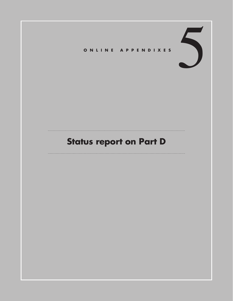

# **Status report on Part D**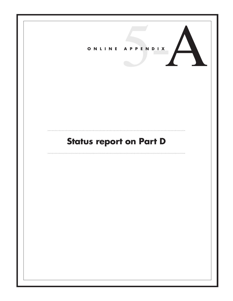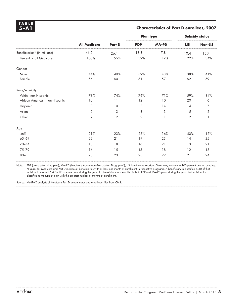**TABLE** 

### **5 –A1 Characteristics of Part D enrollees, 2007**

|                                |                     |                | <b>Plan type</b> |              | Subsidy status |                  |
|--------------------------------|---------------------|----------------|------------------|--------------|----------------|------------------|
|                                | <b>All Medicare</b> | Part D         | <b>PDP</b>       | <b>MA-PD</b> | <b>LIS</b>     | <b>Non-LIS</b>   |
| Beneficiaries* (in millions)   | 46.5                | 26.1           | 18.3             | 7.8          | 10.4           | 15.7             |
| Percent of all Medicare        | 100%                | 56%            | 39%              | 17%          | 22%            | 34%              |
| Gender                         |                     |                |                  |              |                |                  |
| Male                           | 44%                 | 40%            | 39%              | 43%          | 38%            | 41%              |
| Female                         | 56                  | 60             | 61               | 57           | 62             | 59               |
| Race/ethnicity                 |                     |                |                  |              |                |                  |
| White, non-Hispanic            | 78%                 | 74%            | 76%              | 71%          | 59%            | 84%              |
| African American, non-Hispanic | 10                  | 11             | 12               | 10           | 20             | $\boldsymbol{6}$ |
| Hispanic                       | 8                   | 10             | 8                | 14           | 14             | 7                |
| Asian                          | $\overline{2}$      | 3              | 3                | 3            | 5              | $\overline{2}$   |
| Other                          | $\overline{2}$      | $\overline{2}$ | $\overline{2}$   |              | $\overline{2}$ |                  |
| Age                            |                     |                |                  |              |                |                  |
| <65                            | 21%                 | 23%            | 26%              | 16%          | 40%            | 12%              |
| 65-69                          | 22                  | 21             | 19               | 23           | 14             | 25               |
| 70-74                          | 18                  | 18             | 16               | 21           | 13             | 21               |
| 75-79                          | 16                  | 15             | 15               | 18           | 12             | 18               |
| $80+$                          | 23                  | 23             | 23               | 22           | 21             | 24               |

Note: PDP (prescription drug plan), MA–PD (Medicare Advantage–Prescription Drug [plan]), LIS (low-income subsidy). Totals may not sum to 100 percent due to rounding. \*Figures for Medicare and Part D include all beneficiaries with at least one month of enrollment in respective programs. A beneficiary is classified as LIS if that individual received Part D's LIS at some point during the year. If a beneficiary was enrolled in both PDP and MA–PD plans during the year, that individual is classified to the type of plan with the greatest number of months of enrollment.

Source: MedPAC analysis of Medicare Part D denominator and enrollment files from CMS.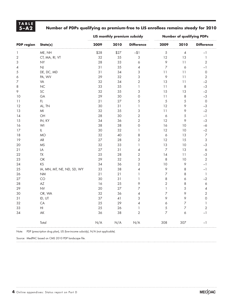# **T A B L E**

## **5 –A2 Number of PDPs qualifying as premium-free to LIS enrollees remains steady for 2010**

|                          |                                                                               |      |        | LIS monthly premium subsidy           | <b>Number of qualifying PDPs</b> |                  |                           |  |
|--------------------------|-------------------------------------------------------------------------------|------|--------|---------------------------------------|----------------------------------|------------------|---------------------------|--|
| <b>PDP</b> region        | State(s)                                                                      | 2009 | 2010   | <b>Difference</b>                     | 2009                             | 2010             | <b>Difference</b>         |  |
| $\mathbf{1}$             | ME, NH                                                                        | \$28 | \$27   | $-11$                                 | 5                                | $\pmb{4}$        | $-1$                      |  |
| $\sqrt{2}$               | CT, MA, RI, VT                                                                | 32   | 35     | 3                                     | 12                               | 13               | $\ensuremath{\mathsf{1}}$ |  |
| 3                        | <b>NY</b>                                                                     | 28   | 33     | 6                                     | 9                                | 11               | $\overline{2}$            |  |
| $\overline{\mathcal{A}}$ | $N_{\rm J}$                                                                   | 31   | 35     | 4                                     | $\overline{7}$                   | $\boldsymbol{6}$ | $-1$                      |  |
| 5                        | DE, DC, MD                                                                    | 31   | 34     | 3                                     | 11                               | 11               | $\mathsf O$               |  |
| 6                        | PA, WV                                                                        | 29   | 32     | 3                                     | 9                                | 11               | $\sqrt{2}$                |  |
| 7                        | VA                                                                            | 32   | 34     | $\mathbf{2}$                          | 13                               | 11               | $-2$                      |  |
| 8                        | NC                                                                            | 33   | 35     | $\mathbb{I}$                          | 11                               | 8                | $-3$                      |  |
| 9                        | SC                                                                            | 32   | 35     | 3                                     | 15                               | 13               | $-2$                      |  |
| 10                       | GA                                                                            | 29   | 30     | $\mathsf O$                           | 11                               | 8                | $-3$                      |  |
| 11                       | FL                                                                            | 21   | 27     | 5                                     | 5                                | 5                | $\circ$                   |  |
| 12                       | AL, TN                                                                        | 30   | 31     | $\begin{array}{c} \hline \end{array}$ | 12                               | 9                | $-3$                      |  |
| 13                       | $M\!$                                                                         | 32   | 35     | 3                                     | 11                               | 9                | $-2$                      |  |
| 14                       | OH                                                                            | 28   | 30     | $\overline{2}$                        | $\acute{\mathrm{o}}$             | 5                | $\mathord{-}1$            |  |
| 15                       | IN, KY                                                                        | 34   | 36     | $\overline{2}$                        | 12                               | 9                | $-3$                      |  |
| 16                       | WI                                                                            | 38   | 38     | $\mathsf O$                           | 16                               | $10$             | $-6$                      |  |
| 17                       | IL                                                                            | 30   | 32     | $\mathbb{I}$                          | 12                               | 10               | $-2$                      |  |
| 18                       | <b>MO</b>                                                                     | 32   | 40     | 8                                     | $\acute{\rm{o}}$                 | 13               | $\overline{\mathcal{I}}$  |  |
| 19                       | AR                                                                            | 27   | 28     | $\overline{2}$                        | 12                               | 15               | 3                         |  |
| 20                       | <b>MS</b>                                                                     | 32   | 33     | $\mathbf{I}$                          | 13                               | 10               | $-3$                      |  |
| 21                       | LA                                                                            | 27   | 31     | $\overline{\mathcal{A}}$              | $\overline{7}$                   | 13               | $\acute{\mathrm{o}}$      |  |
| 22                       | TX                                                                            | 25   | 28     | $\overline{2}$                        | 14                               | 11               | $-3$                      |  |
| 23                       | $\mathsf{OK}% _{\mathsf{CL}}\times\mathsf{C}\times\mathsf{C}\times\mathsf{C}$ | 29   | 32     | 3                                     | 8                                | 10               | $\sqrt{2}$                |  |
| 24                       | KS                                                                            | 34   | 36     | $\overline{2}$                        | 10                               | 9                | $-\mathbb{I}$             |  |
| 25                       | IA, MN, MT, NE, ND, SD, WY                                                    | 33   | 38     | $\overline{\mathcal{A}}$              | 9                                | 8                | $\mathord{-}1$            |  |
| 26                       | <b>NM</b>                                                                     | 21   | 21     | $\mathbb{I}$                          | $\overline{\phantom{a}}$         | 8                | $\mathbbm{1}$             |  |
| 27                       | CO                                                                            | 30   | 31     | $\mathbf{1}$                          | 8                                | 6                | $-2$                      |  |
| 28                       | AZ                                                                            | 16   | 25     | 9                                     | $\overline{c}$                   | 8                | $\boldsymbol{6}$          |  |
| 29                       | <b>NV</b>                                                                     | 20   | 27     | 7                                     | $\mathbf{1}$                     | 5                | $\pmb{4}$                 |  |
| 30                       | OR, WA                                                                        | 32   | 36     | 4                                     | $\overline{z}$                   | 9                | $\sqrt{2}$                |  |
| 31                       | ID, UT                                                                        | 37   | $41\,$ | 3                                     | 9                                | 9                | $\mathsf O$               |  |
| 32                       | CA                                                                            | 25   | 29     | 4                                     | $\acute{\rm{o}}$                 | $\overline{7}$   | $\mathbf{1}$              |  |
| 33                       | $\mathsf{H}\mathsf{I}$                                                        | 25   | 26     | $\mathbf{1}$                          | 5                                | $\overline{7}$   | $\overline{2}$            |  |
| 34                       | $\mathsf{AK}$                                                                 | 36   | 38     | $\overline{2}$                        | 7                                | $\acute{\rm{o}}$ | $-1$                      |  |
|                          | Total                                                                         | N/A  | N/A    | N/A                                   | 308                              | 307              | $-1$                      |  |

Note: PDP (prescription drug plan), LIS (low-income subsidy), N/A (not applicable).

Source: MedPAC based on CMS 2010 PDP landscape file.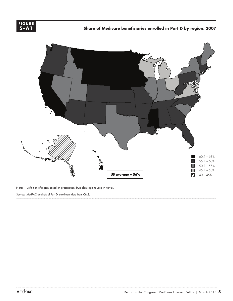

Share of Medicare beneficiaries enrolled in Part D by region, 2007



Note: Definition of region based on prescription drug plan regions used in Part D.

Source: MedPAC analysis of Part D enrollment data from CMS.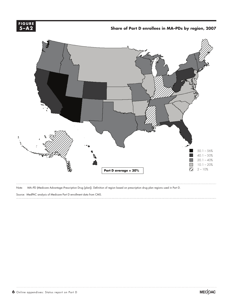

 **Share of Part D enrollees in MA–PDs by region, 2007**

**XXXX.......**



Note: MA–PD (Medicare Advantage–Prescription Drug [plan]). Definition of region based on prescription drug plan regions used in Part D.

Source: MedPAC analysis of Medicare Part D enrollment data from CMS.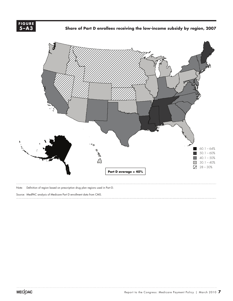

 **Share of Part D enrollees receiving the low-income subsidy by region, 2007 X** ....



Note: Definition of region based on prescription drug plan regions used in Part D.

Source: MedPAC analysis of Medicare Part D enrollment data from CMS.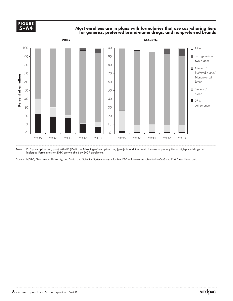**5-A4 5 –A4F I G U R E**

**A4** Most enrollees are in plans with formularies that use cost-sharing tiers  $- A4$ **for generics, preferred brand-name drugs, and nonpreferred brands**



Note: PDP (prescription drug plan), MA–PD (Medicare Advantage–Prescription Drug [plan]). In addition, most plans use a specialty tier for high-priced drugs and biologics. Formularies for 2010 are weighted by 2009 enrollment.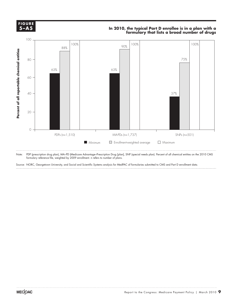

#### **In 2010, the typical Part D enrollee is in a plan with a formulary that lists a broad number of drugs**



Note: PDP (prescription drug plan), MA–PD (Medicare Advantage–Prescription Drug [plan], SNP (special needs plan). Percent of all chemical entities on the 2010 CMS formulary reference file, weighted by 2009 enrollment. n refers to number of plans.

Source: NORC, Georgetown University, and Social and Scientific Systems analysis for MedPAC of formularies submitted to CMS and Part D enrollment data.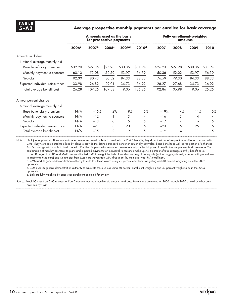#### **5 –A3 Average prospective monthly payments per enrollee for basic coverage**

|                                 | Amounts used as the basis<br>for prospective payments |                   |                   |                   | <b>Fully enrollment-weighted</b><br>amounts |         |         |         |         |
|---------------------------------|-------------------------------------------------------|-------------------|-------------------|-------------------|---------------------------------------------|---------|---------|---------|---------|
|                                 | 2006 <sup>a</sup>                                     | 2007 <sup>b</sup> | 2008 <sup>c</sup> | 2009 <sup>d</sup> | 2010 <sup>d</sup>                           | 2007    | 2008    | 2009    | 2010    |
| Amounts in dollars              |                                                       |                   |                   |                   |                                             |         |         |         |         |
| National average monthly bid    |                                                       |                   |                   |                   |                                             |         |         |         |         |
| Base beneficiary premium        | \$32.20                                               | \$27.35           | \$27.93           | \$30.36           | \$31.94                                     | \$26.23 | \$27.28 | \$30.36 | \$31.94 |
| Monthly payment to sponsors     | 60.10                                                 | 53.08             | 52.59             | 53.97             | 56.39                                       | 50.36   | 52.02   | 53.97   | 56.39   |
| Subtotal                        | 92.30                                                 | 80.43             | 80.52             | 84.33             | 88.33                                       | 76.59   | 79.30   | 84.33   | 88.33   |
| Expected individual reinsurance | 33.98                                                 | 26.82             | 29.01             | 34.73             | 36.92                                       | 26.27   | 27.68   | 34.73   | 36.92   |
| Total average benefit cost      | 126.28                                                | 107.25            | 109.53            | 119.06            | 125.25                                      | 102.86  | 106.98  | 119.06  | 125.25  |
| Annual percent change           |                                                       |                   |                   |                   |                                             |         |         |         |         |
| National average monthly bid    |                                                       |                   |                   |                   |                                             |         |         |         |         |
| Base beneficiary premium        | N/A                                                   | $-15%$            | 2%                | 9%                | 5%                                          | $-19%$  | 4%      | 11%     | 5%      |
| Monthly payment to sponsors     | N/A                                                   | $-12$             | $-1$              | 3                 | 4                                           | $-16$   | 3       | 4       | 4       |
| Subtotal                        | N/A                                                   | $-13$             | O                 | 5                 | 5                                           | $-17$   | 4       | 6       | 5       |
| Expected individual reinsurance | N/A                                                   | $-21$             | 8                 | 20                | 6                                           | $-23$   | 5       | 25      | 6       |
| Total average benefit cost      | N/A                                                   | $-15$             | $\overline{2}$    | 9                 | 5                                           | $-19$   | 4       | 11      | 5       |

Note: N/A (not applicable). These amounts reflect averages based on bids to provide basic Part D benefits; they do not net out subsequent reconciliation amounts with CMS. They were calculated from bids by plans to provide the defined standard benefit or actuarially equivalent basic benefits as well as the portion of enhanced Part D coverage attributable to basic benefits. Enrollees in plans with enhanced coverage must pay the full price of benefits that supplement basic coverage. The combination of monthly payments to plans and expected payments for individual reinsurance make up 74.5 percent of total average monthly benefit costs. a. Part D began in 2006 and Medicare law directed CMS to weight the bids of stand-alone drug plans equally (with an aggregate weight representing enrollment in traditional Medicare) and weight bids from Medicare Advantage (MA) drug plans by their prior year MA enrollment.

b. CMS used its general demonstration authority to calculate these values using 20 percent enrollment weighting and 80 percent weighting as in the 2006 approach.

c. CMS used its general demonstration authority to calculate these values using 60 percent enrollment weighting and 40 percent weighting as in the 2006 approach.

d. Bids are fully weighted by prior year enrollment as called for by law.

Source: MedPAC based on CMS releases of Part D national average monthly bid amounts and base beneficiary premiums for 2006 through 2010 as well as other data provided by CMS.